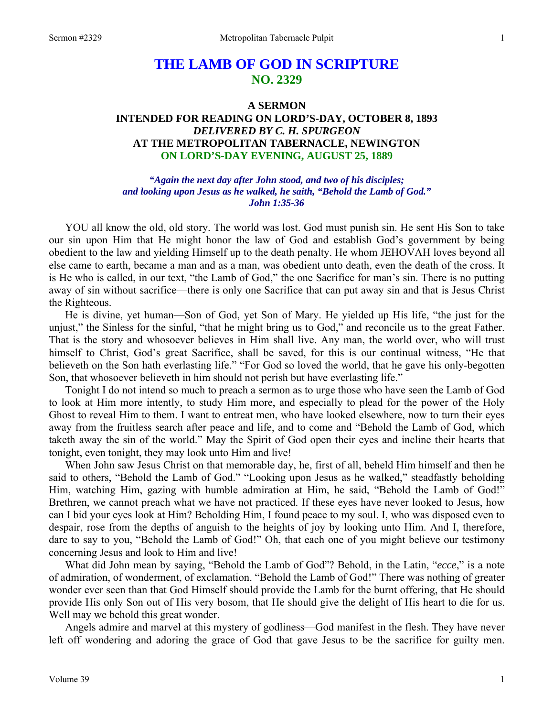# **THE LAMB OF GOD IN SCRIPTURE NO. 2329**

# **A SERMON INTENDED FOR READING ON LORD'S-DAY, OCTOBER 8, 1893**  *DELIVERED BY C. H. SPURGEON*  **AT THE METROPOLITAN TABERNACLE, NEWINGTON ON LORD'S-DAY EVENING, AUGUST 25, 1889**

*"Again the next day after John stood, and two of his disciples; and looking upon Jesus as he walked, he saith, "Behold the Lamb of God." John 1:35-36* 

YOU all know the old, old story. The world was lost. God must punish sin. He sent His Son to take our sin upon Him that He might honor the law of God and establish God's government by being obedient to the law and yielding Himself up to the death penalty. He whom JEHOVAH loves beyond all else came to earth, became a man and as a man, was obedient unto death, even the death of the cross. It is He who is called, in our text, "the Lamb of God," the one Sacrifice for man's sin. There is no putting away of sin without sacrifice—there is only one Sacrifice that can put away sin and that is Jesus Christ the Righteous.

He is divine, yet human—Son of God, yet Son of Mary. He yielded up His life, "the just for the unjust," the Sinless for the sinful, "that he might bring us to God," and reconcile us to the great Father. That is the story and whosoever believes in Him shall live. Any man, the world over, who will trust himself to Christ, God's great Sacrifice, shall be saved, for this is our continual witness, "He that believeth on the Son hath everlasting life." "For God so loved the world, that he gave his only-begotten Son, that whosoever believeth in him should not perish but have everlasting life."

Tonight I do not intend so much to preach a sermon as to urge those who have seen the Lamb of God to look at Him more intently, to study Him more, and especially to plead for the power of the Holy Ghost to reveal Him to them. I want to entreat men, who have looked elsewhere, now to turn their eyes away from the fruitless search after peace and life, and to come and "Behold the Lamb of God, which taketh away the sin of the world." May the Spirit of God open their eyes and incline their hearts that tonight, even tonight, they may look unto Him and live!

When John saw Jesus Christ on that memorable day, he, first of all, beheld Him himself and then he said to others, "Behold the Lamb of God." "Looking upon Jesus as he walked," steadfastly beholding Him, watching Him, gazing with humble admiration at Him, he said, "Behold the Lamb of God!" Brethren, we cannot preach what we have not practiced. If these eyes have never looked to Jesus, how can I bid your eyes look at Him? Beholding Him, I found peace to my soul. I, who was disposed even to despair, rose from the depths of anguish to the heights of joy by looking unto Him. And I, therefore, dare to say to you, "Behold the Lamb of God!" Oh, that each one of you might believe our testimony concerning Jesus and look to Him and live!

What did John mean by saying, "Behold the Lamb of God"? Behold, in the Latin, "*ecce*," is a note of admiration, of wonderment, of exclamation. "Behold the Lamb of God!" There was nothing of greater wonder ever seen than that God Himself should provide the Lamb for the burnt offering, that He should provide His only Son out of His very bosom, that He should give the delight of His heart to die for us. Well may we behold this great wonder.

Angels admire and marvel at this mystery of godliness—God manifest in the flesh. They have never left off wondering and adoring the grace of God that gave Jesus to be the sacrifice for guilty men.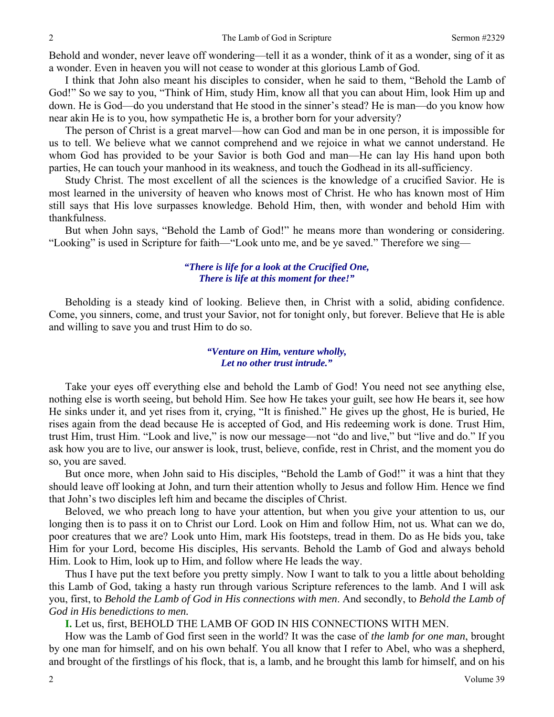Behold and wonder, never leave off wondering—tell it as a wonder, think of it as a wonder, sing of it as a wonder. Even in heaven you will not cease to wonder at this glorious Lamb of God.

I think that John also meant his disciples to consider, when he said to them, "Behold the Lamb of God!" So we say to you, "Think of Him, study Him, know all that you can about Him, look Him up and down. He is God—do you understand that He stood in the sinner's stead? He is man—do you know how near akin He is to you, how sympathetic He is, a brother born for your adversity?

The person of Christ is a great marvel—how can God and man be in one person, it is impossible for us to tell. We believe what we cannot comprehend and we rejoice in what we cannot understand. He whom God has provided to be your Savior is both God and man—He can lay His hand upon both parties, He can touch your manhood in its weakness, and touch the Godhead in its all-sufficiency.

Study Christ. The most excellent of all the sciences is the knowledge of a crucified Savior. He is most learned in the university of heaven who knows most of Christ. He who has known most of Him still says that His love surpasses knowledge. Behold Him, then, with wonder and behold Him with thankfulness.

But when John says, "Behold the Lamb of God!" he means more than wondering or considering. "Looking" is used in Scripture for faith—"Look unto me, and be ye saved." Therefore we sing—

# *"There is life for a look at the Crucified One, There is life at this moment for thee!"*

Beholding is a steady kind of looking. Believe then, in Christ with a solid, abiding confidence. Come, you sinners, come, and trust your Savior, not for tonight only, but forever. Believe that He is able and willing to save you and trust Him to do so.

# *"Venture on Him, venture wholly, Let no other trust intrude."*

Take your eyes off everything else and behold the Lamb of God! You need not see anything else, nothing else is worth seeing, but behold Him. See how He takes your guilt, see how He bears it, see how He sinks under it, and yet rises from it, crying, "It is finished." He gives up the ghost, He is buried, He rises again from the dead because He is accepted of God, and His redeeming work is done. Trust Him, trust Him, trust Him. "Look and live," is now our message—not "do and live," but "live and do." If you ask how you are to live, our answer is look, trust, believe, confide, rest in Christ, and the moment you do so, you are saved.

But once more, when John said to His disciples, "Behold the Lamb of God!" it was a hint that they should leave off looking at John, and turn their attention wholly to Jesus and follow Him. Hence we find that John's two disciples left him and became the disciples of Christ.

Beloved, we who preach long to have your attention, but when you give your attention to us, our longing then is to pass it on to Christ our Lord. Look on Him and follow Him, not us. What can we do, poor creatures that we are? Look unto Him, mark His footsteps, tread in them. Do as He bids you, take Him for your Lord, become His disciples, His servants. Behold the Lamb of God and always behold Him. Look to Him, look up to Him, and follow where He leads the way.

Thus I have put the text before you pretty simply. Now I want to talk to you a little about beholding this Lamb of God, taking a hasty run through various Scripture references to the lamb. And I will ask you, first, to *Behold the Lamb of God in His connections with men*. And secondly, to *Behold the Lamb of God in His benedictions to men.* 

**I.** Let us, first, BEHOLD THE LAMB OF GOD IN HIS CONNECTIONS WITH MEN.

How was the Lamb of God first seen in the world? It was the case of *the lamb for one man*, brought by one man for himself, and on his own behalf. You all know that I refer to Abel, who was a shepherd, and brought of the firstlings of his flock, that is, a lamb, and he brought this lamb for himself, and on his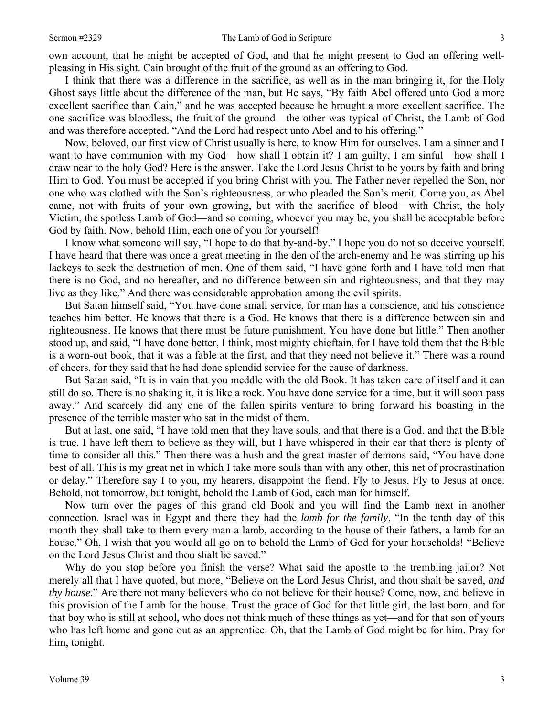own account, that he might be accepted of God, and that he might present to God an offering wellpleasing in His sight. Cain brought of the fruit of the ground as an offering to God.

I think that there was a difference in the sacrifice, as well as in the man bringing it, for the Holy Ghost says little about the difference of the man, but He says, "By faith Abel offered unto God a more excellent sacrifice than Cain," and he was accepted because he brought a more excellent sacrifice. The one sacrifice was bloodless, the fruit of the ground—the other was typical of Christ, the Lamb of God and was therefore accepted. "And the Lord had respect unto Abel and to his offering."

Now, beloved, our first view of Christ usually is here, to know Him for ourselves. I am a sinner and I want to have communion with my God—how shall I obtain it? I am guilty, I am sinful—how shall I draw near to the holy God? Here is the answer. Take the Lord Jesus Christ to be yours by faith and bring Him to God. You must be accepted if you bring Christ with you. The Father never repelled the Son, nor one who was clothed with the Son's righteousness, or who pleaded the Son's merit. Come you, as Abel came, not with fruits of your own growing, but with the sacrifice of blood—with Christ, the holy Victim, the spotless Lamb of God—and so coming, whoever you may be, you shall be acceptable before God by faith. Now, behold Him, each one of you for yourself!

I know what someone will say, "I hope to do that by-and-by." I hope you do not so deceive yourself. I have heard that there was once a great meeting in the den of the arch-enemy and he was stirring up his lackeys to seek the destruction of men. One of them said, "I have gone forth and I have told men that there is no God, and no hereafter, and no difference between sin and righteousness, and that they may live as they like." And there was considerable approbation among the evil spirits.

But Satan himself said, "You have done small service, for man has a conscience, and his conscience teaches him better. He knows that there is a God. He knows that there is a difference between sin and righteousness. He knows that there must be future punishment. You have done but little." Then another stood up, and said, "I have done better, I think, most mighty chieftain, for I have told them that the Bible is a worn-out book, that it was a fable at the first, and that they need not believe it." There was a round of cheers, for they said that he had done splendid service for the cause of darkness.

But Satan said, "It is in vain that you meddle with the old Book. It has taken care of itself and it can still do so. There is no shaking it, it is like a rock. You have done service for a time, but it will soon pass away." And scarcely did any one of the fallen spirits venture to bring forward his boasting in the presence of the terrible master who sat in the midst of them.

But at last, one said, "I have told men that they have souls, and that there is a God, and that the Bible is true. I have left them to believe as they will, but I have whispered in their ear that there is plenty of time to consider all this." Then there was a hush and the great master of demons said, "You have done best of all. This is my great net in which I take more souls than with any other, this net of procrastination or delay." Therefore say I to you, my hearers, disappoint the fiend. Fly to Jesus. Fly to Jesus at once. Behold, not tomorrow, but tonight, behold the Lamb of God, each man for himself.

Now turn over the pages of this grand old Book and you will find the Lamb next in another connection. Israel was in Egypt and there they had the *lamb for the family*, "In the tenth day of this month they shall take to them every man a lamb, according to the house of their fathers, a lamb for an house." Oh, I wish that you would all go on to behold the Lamb of God for your households! "Believe on the Lord Jesus Christ and thou shalt be saved."

Why do you stop before you finish the verse? What said the apostle to the trembling jailor? Not merely all that I have quoted, but more, "Believe on the Lord Jesus Christ, and thou shalt be saved, *and thy house*." Are there not many believers who do not believe for their house? Come, now, and believe in this provision of the Lamb for the house. Trust the grace of God for that little girl, the last born, and for that boy who is still at school, who does not think much of these things as yet—and for that son of yours who has left home and gone out as an apprentice. Oh, that the Lamb of God might be for him. Pray for him, tonight.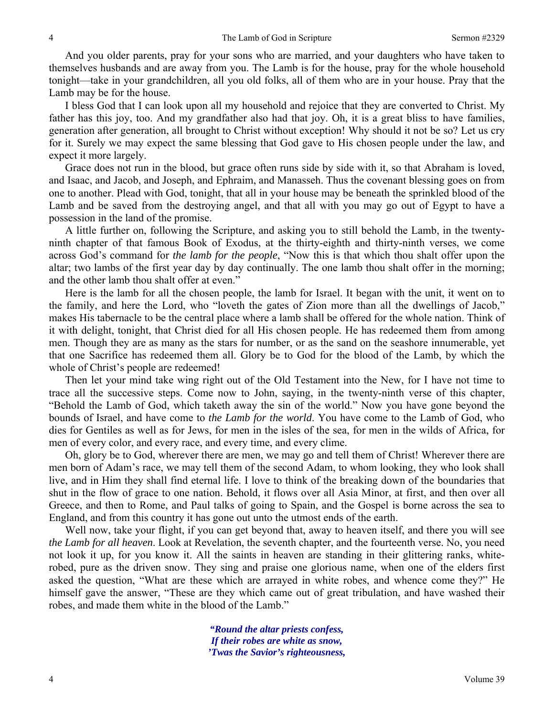And you older parents, pray for your sons who are married, and your daughters who have taken to themselves husbands and are away from you. The Lamb is for the house, pray for the whole household tonight—take in your grandchildren, all you old folks, all of them who are in your house. Pray that the Lamb may be for the house.

I bless God that I can look upon all my household and rejoice that they are converted to Christ. My father has this joy, too. And my grandfather also had that joy. Oh, it is a great bliss to have families, generation after generation, all brought to Christ without exception! Why should it not be so? Let us cry for it. Surely we may expect the same blessing that God gave to His chosen people under the law, and expect it more largely.

Grace does not run in the blood, but grace often runs side by side with it, so that Abraham is loved, and Isaac, and Jacob, and Joseph, and Ephraim, and Manasseh. Thus the covenant blessing goes on from one to another. Plead with God, tonight, that all in your house may be beneath the sprinkled blood of the Lamb and be saved from the destroying angel, and that all with you may go out of Egypt to have a possession in the land of the promise.

A little further on, following the Scripture, and asking you to still behold the Lamb, in the twentyninth chapter of that famous Book of Exodus, at the thirty-eighth and thirty-ninth verses, we come across God's command for *the lamb for the people*, "Now this is that which thou shalt offer upon the altar; two lambs of the first year day by day continually. The one lamb thou shalt offer in the morning; and the other lamb thou shalt offer at even."

Here is the lamb for all the chosen people, the lamb for Israel. It began with the unit, it went on to the family, and here the Lord, who "loveth the gates of Zion more than all the dwellings of Jacob," makes His tabernacle to be the central place where a lamb shall be offered for the whole nation. Think of it with delight, tonight, that Christ died for all His chosen people. He has redeemed them from among men. Though they are as many as the stars for number, or as the sand on the seashore innumerable, yet that one Sacrifice has redeemed them all. Glory be to God for the blood of the Lamb, by which the whole of Christ's people are redeemed!

Then let your mind take wing right out of the Old Testament into the New, for I have not time to trace all the successive steps. Come now to John, saying, in the twenty-ninth verse of this chapter, "Behold the Lamb of God, which taketh away the sin of the world." Now you have gone beyond the bounds of Israel, and have come to *the Lamb for the world*. You have come to the Lamb of God, who dies for Gentiles as well as for Jews, for men in the isles of the sea, for men in the wilds of Africa, for men of every color, and every race, and every time, and every clime.

Oh, glory be to God, wherever there are men, we may go and tell them of Christ! Wherever there are men born of Adam's race, we may tell them of the second Adam, to whom looking, they who look shall live, and in Him they shall find eternal life. I love to think of the breaking down of the boundaries that shut in the flow of grace to one nation. Behold, it flows over all Asia Minor, at first, and then over all Greece, and then to Rome, and Paul talks of going to Spain, and the Gospel is borne across the sea to England, and from this country it has gone out unto the utmost ends of the earth.

Well now, take your flight, if you can get beyond that, away to heaven itself, and there you will see *the Lamb for all heaven*. Look at Revelation, the seventh chapter, and the fourteenth verse. No, you need not look it up, for you know it. All the saints in heaven are standing in their glittering ranks, whiterobed, pure as the driven snow. They sing and praise one glorious name, when one of the elders first asked the question, "What are these which are arrayed in white robes, and whence come they?" He himself gave the answer, "These are they which came out of great tribulation, and have washed their robes, and made them white in the blood of the Lamb."

> *"Round the altar priests confess, If their robes are white as snow, 'Twas the Savior's righteousness,*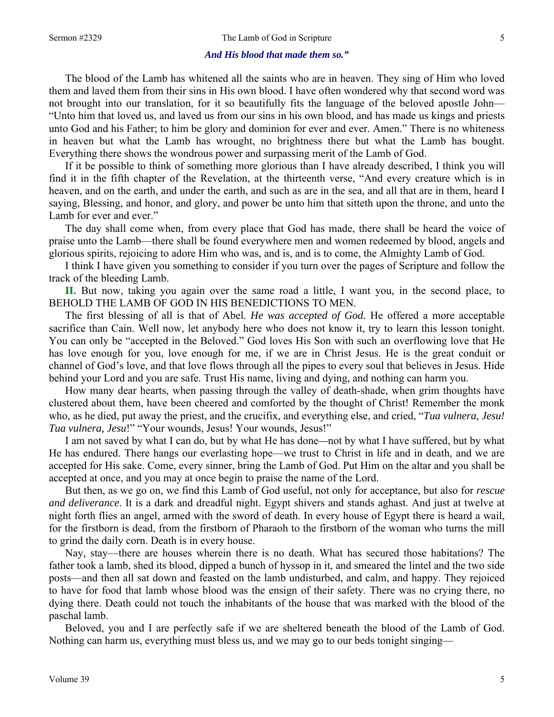#### *And His blood that made them so."*

The blood of the Lamb has whitened all the saints who are in heaven. They sing of Him who loved them and laved them from their sins in His own blood. I have often wondered why that second word was not brought into our translation, for it so beautifully fits the language of the beloved apostle John— "Unto him that loved us, and laved us from our sins in his own blood, and has made us kings and priests unto God and his Father; to him be glory and dominion for ever and ever. Amen." There is no whiteness in heaven but what the Lamb has wrought, no brightness there but what the Lamb has bought. Everything there shows the wondrous power and surpassing merit of the Lamb of God.

If it be possible to think of something more glorious than I have already described, I think you will find it in the fifth chapter of the Revelation, at the thirteenth verse, "And every creature which is in heaven, and on the earth, and under the earth, and such as are in the sea, and all that are in them, heard I saying, Blessing, and honor, and glory, and power be unto him that sitteth upon the throne, and unto the Lamb for ever and ever."

The day shall come when, from every place that God has made, there shall be heard the voice of praise unto the Lamb—there shall be found everywhere men and women redeemed by blood, angels and glorious spirits, rejoicing to adore Him who was, and is, and is to come, the Almighty Lamb of God.

I think I have given you something to consider if you turn over the pages of Scripture and follow the track of the bleeding Lamb.

**II.** But now, taking you again over the same road a little, I want you, in the second place, to BEHOLD THE LAMB OF GOD IN HIS BENEDICTIONS TO MEN.

The first blessing of all is that of Abel. *He was accepted of God.* He offered a more acceptable sacrifice than Cain. Well now, let anybody here who does not know it, try to learn this lesson tonight. You can only be "accepted in the Beloved." God loves His Son with such an overflowing love that He has love enough for you, love enough for me, if we are in Christ Jesus. He is the great conduit or channel of God's love, and that love flows through all the pipes to every soul that believes in Jesus. Hide behind your Lord and you are safe. Trust His name, living and dying, and nothing can harm you.

How many dear hearts, when passing through the valley of death-shade, when grim thoughts have clustered about them, have been cheered and comforted by the thought of Christ! Remember the monk who, as he died, put away the priest, and the crucifix, and everything else, and cried, "*Tua vulnera, Jesu! Tua vulnera, Jesu*!" "Your wounds, Jesus! Your wounds, Jesus!"

I am not saved by what I can do, but by what He has done*—*not by what I have suffered, but by what He has endured. There hangs our everlasting hope—we trust to Christ in life and in death, and we are accepted for His sake. Come, every sinner, bring the Lamb of God. Put Him on the altar and you shall be accepted at once, and you may at once begin to praise the name of the Lord.

But then, as we go on, we find this Lamb of God useful, not only for acceptance, but also for *rescue and deliverance*. It is a dark and dreadful night. Egypt shivers and stands aghast. And just at twelve at night forth flies an angel, armed with the sword of death. In every house of Egypt there is heard a wail, for the firstborn is dead, from the firstborn of Pharaoh to the firstborn of the woman who turns the mill to grind the daily corn. Death is in every house.

Nay, stay—there are houses wherein there is no death. What has secured those habitations? The father took a lamb, shed its blood, dipped a bunch of hyssop in it, and smeared the lintel and the two side posts—and then all sat down and feasted on the lamb undisturbed, and calm, and happy. They rejoiced to have for food that lamb whose blood was the ensign of their safety. There was no crying there, no dying there. Death could not touch the inhabitants of the house that was marked with the blood of the paschal lamb.

Beloved, you and I are perfectly safe if we are sheltered beneath the blood of the Lamb of God. Nothing can harm us, everything must bless us, and we may go to our beds tonight singing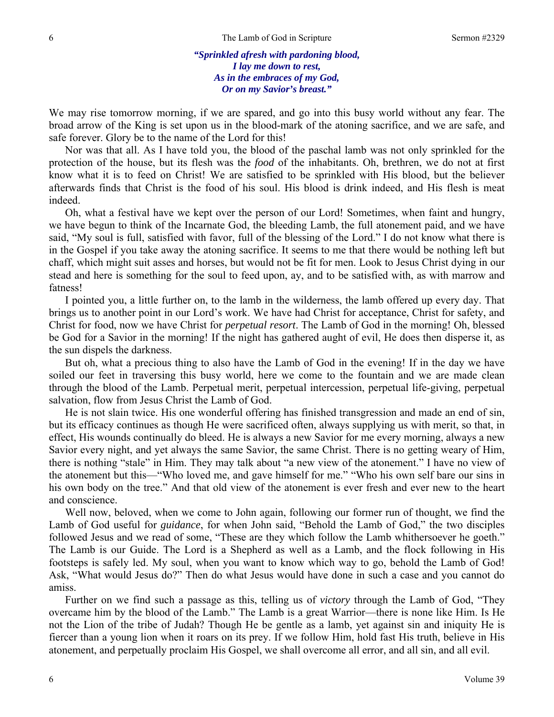*"Sprinkled afresh with pardoning blood, I lay me down to rest, As in the embraces of my God, Or on my Savior's breast."* 

We may rise tomorrow morning, if we are spared, and go into this busy world without any fear. The broad arrow of the King is set upon us in the blood-mark of the atoning sacrifice, and we are safe, and safe forever. Glory be to the name of the Lord for this!

Nor was that all. As I have told you, the blood of the paschal lamb was not only sprinkled for the protection of the house, but its flesh was the *food* of the inhabitants. Oh, brethren, we do not at first know what it is to feed on Christ! We are satisfied to be sprinkled with His blood, but the believer afterwards finds that Christ is the food of his soul. His blood is drink indeed, and His flesh is meat indeed.

Oh, what a festival have we kept over the person of our Lord! Sometimes, when faint and hungry, we have begun to think of the Incarnate God, the bleeding Lamb, the full atonement paid, and we have said, "My soul is full, satisfied with favor, full of the blessing of the Lord." I do not know what there is in the Gospel if you take away the atoning sacrifice. It seems to me that there would be nothing left but chaff, which might suit asses and horses, but would not be fit for men. Look to Jesus Christ dying in our stead and here is something for the soul to feed upon, ay, and to be satisfied with, as with marrow and fatness!

I pointed you, a little further on, to the lamb in the wilderness, the lamb offered up every day. That brings us to another point in our Lord's work. We have had Christ for acceptance, Christ for safety, and Christ for food, now we have Christ for *perpetual resort*. The Lamb of God in the morning! Oh, blessed be God for a Savior in the morning! If the night has gathered aught of evil, He does then disperse it, as the sun dispels the darkness.

But oh, what a precious thing to also have the Lamb of God in the evening! If in the day we have soiled our feet in traversing this busy world, here we come to the fountain and we are made clean through the blood of the Lamb. Perpetual merit, perpetual intercession, perpetual life-giving, perpetual salvation, flow from Jesus Christ the Lamb of God.

He is not slain twice. His one wonderful offering has finished transgression and made an end of sin, but its efficacy continues as though He were sacrificed often, always supplying us with merit, so that, in effect, His wounds continually do bleed. He is always a new Savior for me every morning, always a new Savior every night, and yet always the same Savior, the same Christ. There is no getting weary of Him, there is nothing "stale" in Him. They may talk about "a new view of the atonement." I have no view of the atonement but this—"Who loved me, and gave himself for me." "Who his own self bare our sins in his own body on the tree." And that old view of the atonement is ever fresh and ever new to the heart and conscience.

Well now, beloved, when we come to John again, following our former run of thought, we find the Lamb of God useful for *guidance*, for when John said, "Behold the Lamb of God," the two disciples followed Jesus and we read of some, "These are they which follow the Lamb whithersoever he goeth." The Lamb is our Guide. The Lord is a Shepherd as well as a Lamb, and the flock following in His footsteps is safely led. My soul, when you want to know which way to go, behold the Lamb of God! Ask, "What would Jesus do?" Then do what Jesus would have done in such a case and you cannot do amiss.

Further on we find such a passage as this, telling us of *victory* through the Lamb of God, "They overcame him by the blood of the Lamb." The Lamb is a great Warrior—there is none like Him. Is He not the Lion of the tribe of Judah? Though He be gentle as a lamb, yet against sin and iniquity He is fiercer than a young lion when it roars on its prey. If we follow Him, hold fast His truth, believe in His atonement, and perpetually proclaim His Gospel, we shall overcome all error, and all sin, and all evil.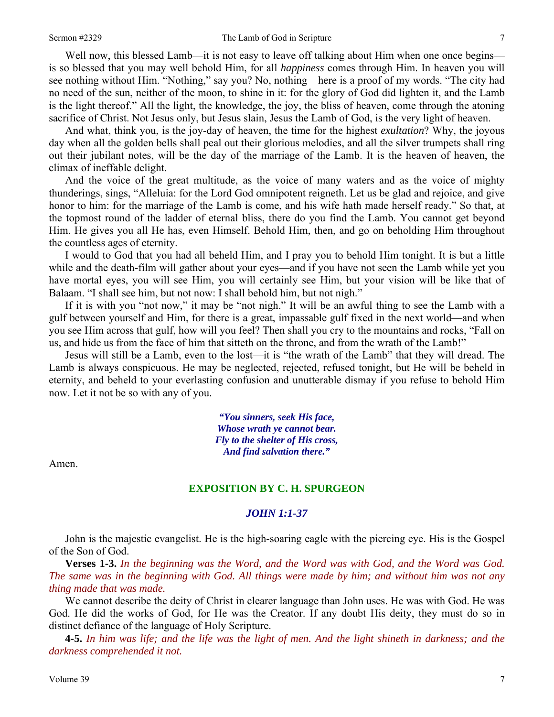Well now, this blessed Lamb—it is not easy to leave off talking about Him when one once begins is so blessed that you may well behold Him, for all *happiness* comes through Him. In heaven you will see nothing without Him. "Nothing," say you? No, nothing—here is a proof of my words. "The city had no need of the sun, neither of the moon, to shine in it: for the glory of God did lighten it, and the Lamb is the light thereof." All the light, the knowledge, the joy, the bliss of heaven, come through the atoning sacrifice of Christ. Not Jesus only, but Jesus slain, Jesus the Lamb of God, is the very light of heaven.

And what, think you, is the joy-day of heaven, the time for the highest *exultation*? Why, the joyous day when all the golden bells shall peal out their glorious melodies, and all the silver trumpets shall ring out their jubilant notes, will be the day of the marriage of the Lamb. It is the heaven of heaven, the climax of ineffable delight.

And the voice of the great multitude, as the voice of many waters and as the voice of mighty thunderings, sings, "Alleluia: for the Lord God omnipotent reigneth. Let us be glad and rejoice, and give honor to him: for the marriage of the Lamb is come, and his wife hath made herself ready." So that, at the topmost round of the ladder of eternal bliss, there do you find the Lamb. You cannot get beyond Him. He gives you all He has, even Himself. Behold Him, then, and go on beholding Him throughout the countless ages of eternity.

I would to God that you had all beheld Him, and I pray you to behold Him tonight. It is but a little while and the death-film will gather about your eyes—and if you have not seen the Lamb while yet you have mortal eyes, you will see Him, you will certainly see Him, but your vision will be like that of Balaam. "I shall see him, but not now: I shall behold him, but not nigh."

If it is with you "not now," it may be "not nigh." It will be an awful thing to see the Lamb with a gulf between yourself and Him, for there is a great, impassable gulf fixed in the next world—and when you see Him across that gulf, how will you feel? Then shall you cry to the mountains and rocks, "Fall on us, and hide us from the face of him that sitteth on the throne, and from the wrath of the Lamb!"

Jesus will still be a Lamb, even to the lost—it is "the wrath of the Lamb" that they will dread. The Lamb is always conspicuous. He may be neglected, rejected, refused tonight, but He will be beheld in eternity, and beheld to your everlasting confusion and unutterable dismay if you refuse to behold Him now. Let it not be so with any of you.

> *"You sinners, seek His face, Whose wrath ye cannot bear. Fly to the shelter of His cross, And find salvation there."*

Amen.

#### **EXPOSITION BY C. H. SPURGEON**

# *JOHN 1:1-37*

John is the majestic evangelist. He is the high-soaring eagle with the piercing eye. His is the Gospel of the Son of God.

**Verses 1-3.** *In the beginning was the Word, and the Word was with God, and the Word was God. The same was in the beginning with God. All things were made by him; and without him was not any thing made that was made.*

We cannot describe the deity of Christ in clearer language than John uses. He was with God. He was God. He did the works of God, for He was the Creator. If any doubt His deity, they must do so in distinct defiance of the language of Holy Scripture.

**4-5.** *In him was life; and the life was the light of men. And the light shineth in darkness; and the darkness comprehended it not.*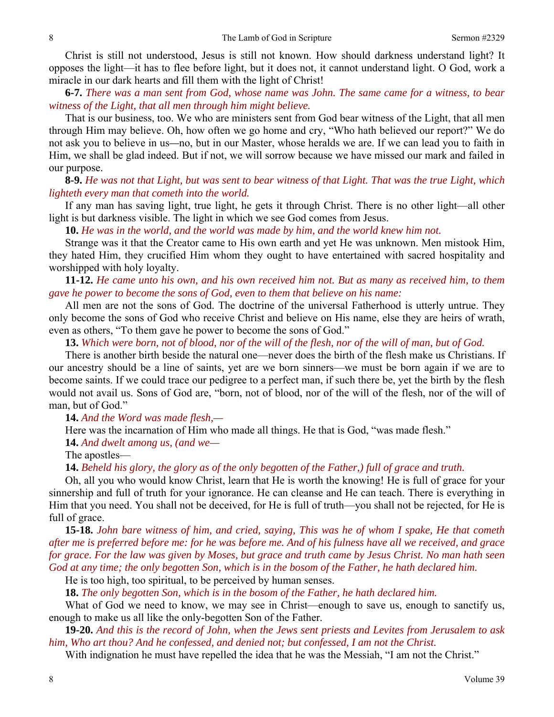Christ is still not understood, Jesus is still not known. How should darkness understand light? It opposes the light—it has to flee before light, but it does not, it cannot understand light. O God, work a miracle in our dark hearts and fill them with the light of Christ!

**6-7.** *There was a man sent from God, whose name was John. The same came for a witness, to bear witness of the Light, that all men through him might believe.*

That is our business, too. We who are ministers sent from God bear witness of the Light, that all men through Him may believe. Oh, how often we go home and cry, "Who hath believed our report?" We do not ask you to believe in us*—*no, but in our Master, whose heralds we are. If we can lead you to faith in Him, we shall be glad indeed. But if not, we will sorrow because we have missed our mark and failed in our purpose.

# **8-9.** *He was not that Light, but was sent to bear witness of that Light. That was the true Light, which lighteth every man that cometh into the world.*

If any man has saving light, true light, he gets it through Christ. There is no other light—all other light is but darkness visible. The light in which we see God comes from Jesus.

**10.** *He was in the world, and the world was made by him, and the world knew him not.* 

Strange was it that the Creator came to His own earth and yet He was unknown. Men mistook Him, they hated Him, they crucified Him whom they ought to have entertained with sacred hospitality and worshipped with holy loyalty.

**11-12.** *He came unto his own, and his own received him not. But as many as received him, to them gave he power to become the sons of God, even to them that believe on his name:* 

All men are not the sons of God. The doctrine of the universal Fatherhood is utterly untrue. They only become the sons of God who receive Christ and believe on His name, else they are heirs of wrath, even as others, "To them gave he power to become the sons of God."

**13.** *Which were born, not of blood, nor of the will of the flesh, nor of the will of man, but of God.* 

There is another birth beside the natural one—never does the birth of the flesh make us Christians. If our ancestry should be a line of saints, yet are we born sinners—we must be born again if we are to become saints. If we could trace our pedigree to a perfect man, if such there be, yet the birth by the flesh would not avail us. Sons of God are, "born, not of blood, nor of the will of the flesh, nor of the will of man, but of God."

**14.** *And the Word was made flesh,—* 

Here was the incarnation of Him who made all things. He that is God, "was made flesh."

**14.** *And dwelt among us, (and we—*

The apostles—

**14.** *Beheld his glory, the glory as of the only begotten of the Father,) full of grace and truth.*

Oh, all you who would know Christ, learn that He is worth the knowing! He is full of grace for your sinnership and full of truth for your ignorance. He can cleanse and He can teach. There is everything in Him that you need. You shall not be deceived, for He is full of truth—you shall not be rejected, for He is full of grace.

**15-18.** *John bare witness of him, and cried, saying, This was he of whom I spake, He that cometh after me is preferred before me: for he was before me. And of his fulness have all we received, and grace for grace. For the law was given by Moses, but grace and truth came by Jesus Christ. No man hath seen God at any time; the only begotten Son, which is in the bosom of the Father, he hath declared him.*

He is too high, too spiritual, to be perceived by human senses.

**18.** *The only begotten Son, which is in the bosom of the Father, he hath declared him.* 

What of God we need to know, we may see in Christ—enough to save us, enough to sanctify us, enough to make us all like the only-begotten Son of the Father.

**19-20.** *And this is the record of John, when the Jews sent priests and Levites from Jerusalem to ask him, Who art thou? And he confessed, and denied not; but confessed, I am not the Christ.*

With indignation he must have repelled the idea that he was the Messiah, "I am not the Christ."